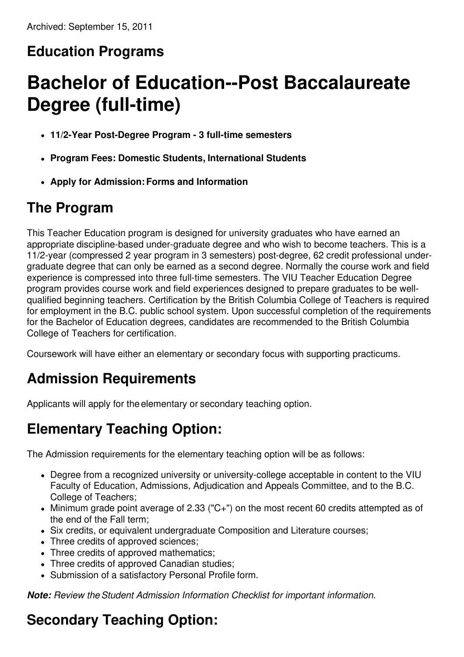# **Education Programs**

# **Bachelor of Education--Post Baccalaureate Degree (full-time)**

- **11/2-Year Post-Degree Program - 3 full-time semesters**
- **Program Fees: Domestic Students, International Students**
- **Apply for Admission:Forms and Information**

# **The Program**

This Teacher Education program is designed for university graduates who have earned an appropriate discipline-based under-graduate degree and who wish to become teachers. This is a 11/2-year (compressed 2 year program in 3 semesters) post-degree, 62 credit professional undergraduate degree that can only be earned as a second degree. Normally the course work and field experience is compressed into three full-time semesters. The VIU Teacher Education Degree program provides course work and field experiences designed to prepare graduates to be wellqualified beginning teachers. Certification by the British Columbia College of Teachers is required for employment in the B.C. public school system. Upon successful completion of the requirements for the Bachelor of Education degrees, candidates are recommended to the British Columbia College of Teachers for certification.

Coursework will have either an elementary or secondary focus with supporting practicums.

# **Admission Requirements**

Applicants will apply for the elementary or secondary teaching option.

# **Elementary Teaching Option:**

The Admission requirements for the elementary teaching option will be as follows:

- Degree from a recognized university or university-college acceptable in content to the VIU Faculty of Education, Admissions, Adjudication and Appeals Committee, and to the B.C. College of Teachers;
- Minimum grade point average of 2.33 ("C+") on the most recent 60 credits attempted as of the end of the Fall term;
- Six credits, or equivalent undergraduate Composition and Literature courses;
- Three credits of approved sciences;
- Three credits of approved mathematics;
- Three credits of approved Canadian studies;
- Submission of a satisfactory Personal Profile form.

*Note: Review theStudent Admission Information Checklist for important information.*

# **Secondary Teaching Option:**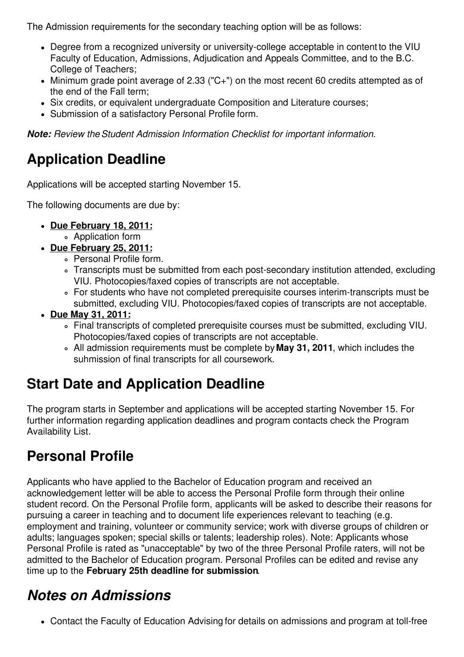The Admission requirements for the secondary teaching option will be as follows:

- Degree from a recognized university or university-college acceptable in content to the VIU Faculty of Education, Admissions, Adjudication and Appeals Committee, and to the B.C. College of Teachers;
- Minimum grade point average of 2.33 ("C+") on the most recent 60 credits attempted as of the end of the Fall term;
- Six credits, or equivalent undergraduate Composition and Literature courses;
- Submission of a satisfactory Personal Profile form.

*Note: Review theStudent Admission Information Checklist for important information.*

### **Application Deadline**

Applications will be accepted starting November 15.

The following documents are due by:

- **Due February 18, 2011:**
	- Application form
- **Due February 25, 2011:**
	- Personal Profile form.
	- Transcripts must be submitted from each post-secondary institution attended, excluding VIU. Photocopies/faxed copies of transcripts are not acceptable.
	- For students who have not completed prerequisite courses interim-transcripts must be submitted, excluding VIU. Photocopies/faxed copies of transcripts are not acceptable.
- **Due May 31, 2011:**
	- Final transcripts of completed prerequisite courses must be submitted, excluding VIU. Photocopies/faxed copies of transcripts are not acceptable.
	- All admission requirements must be complete by **May 31, 2011**, which includes the suhmission of final transcripts for all coursework.

### **Start Date and Application Deadline**

The program starts in September and applications will be accepted starting November 15. For further information regarding application deadlines and program contacts check the Program Availability List.

### **Personal Profile**

Applicants who have applied to the Bachelor of Education program and received an acknowledgement letter will be able to access the Personal Profile form through their online student record. On the Personal Profile form, applicants will be asked to describe their reasons for pursuing a career in teaching and to document life experiences relevant to teaching (e.g. employment and training, volunteer or community service; work with diverse groups of children or adults; languages spoken; special skills or talents; leadership roles). Note: Applicants whose Personal Profile is rated as "unacceptable" by two of the three Personal Profile raters, will not be admitted to the Bachelor of Education program. Personal Profiles can be edited and revise any time up to the **February 25th deadline for submission**.

#### *Notes on Admissions*

Contact the Faculty of Education Advising for details on admissions and program at toll-free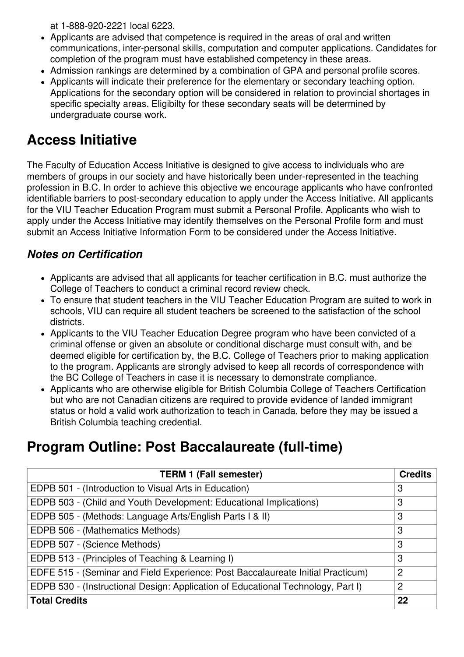at 1-888-920-2221 local 6223.

- Applicants are advised that competence is required in the areas of oral and written communications, inter-personal skills, computation and computer applications. Candidates for completion of the program must have established competency in these areas.
- Admission rankings are determined by a combination of GPA and personal profile scores.
- Applicants will indicate their preference for the elementary or secondary teaching option. Applications for the secondary option will be considered in relation to provincial shortages in specific specialty areas. Eligibilty for these secondary seats will be determined by undergraduate course work.

#### **Access Initiative**

The Faculty of Education Access Initiative is designed to give access to individuals who are members of groups in our society and have historically been under-represented in the teaching profession in B.C. In order to achieve this objective we encourage applicants who have confronted identifiable barriers to post-secondary education to apply under the Access Initiative. All applicants for the VIU Teacher Education Program must submit a Personal Profile. Applicants who wish to apply under the Access Initiative may identify themselves on the Personal Profile form and must submit an Access Initiative Information Form to be considered under the Access Initiative.

#### *Notes on Certification*

- Applicants are advised that all applicants for teacher certification in B.C. must authorize the College of Teachers to conduct a criminal record review check.
- To ensure that student teachers in the VIU Teacher Education Program are suited to work in schools, VIU can require all student teachers be screened to the satisfaction of the school districts.
- Applicants to the VIU Teacher Education Degree program who have been convicted of a criminal offense or given an absolute or conditional discharge must consult with, and be deemed eligible for certification by, the B.C. College of Teachers prior to making application to the program. Applicants are strongly advised to keep all records of correspondence with the BC College of Teachers in case it is necessary to demonstrate compliance.
- Applicants who are otherwise eligible for British Columbia College of Teachers Certification but who are not Canadian citizens are required to provide evidence of landed immigrant status or hold a valid work authorization to teach in Canada, before they may be issued a British Columbia teaching credential.

#### **Program Outline: Post Baccalaureate (full-time)**

| <b>TERM 1 (Fall semester)</b>                                                    | <b>Credits</b> |
|----------------------------------------------------------------------------------|----------------|
| EDPB 501 - (Introduction to Visual Arts in Education)                            | 3              |
| EDPB 503 - (Child and Youth Development: Educational Implications)               | 3              |
| EDPB 505 - (Methods: Language Arts/English Parts I & II)                         | 3              |
| EDPB 506 - (Mathematics Methods)                                                 | 3              |
| EDPB 507 - (Science Methods)                                                     | 3              |
| EDPB 513 - (Principles of Teaching & Learning I)                                 | 3              |
| EDFE 515 - (Seminar and Field Experience: Post Baccalaureate Initial Practicum)  | $\overline{2}$ |
| EDPB 530 - (Instructional Design: Application of Educational Technology, Part I) | $\overline{2}$ |
| <b>Total Credits</b>                                                             | 22             |